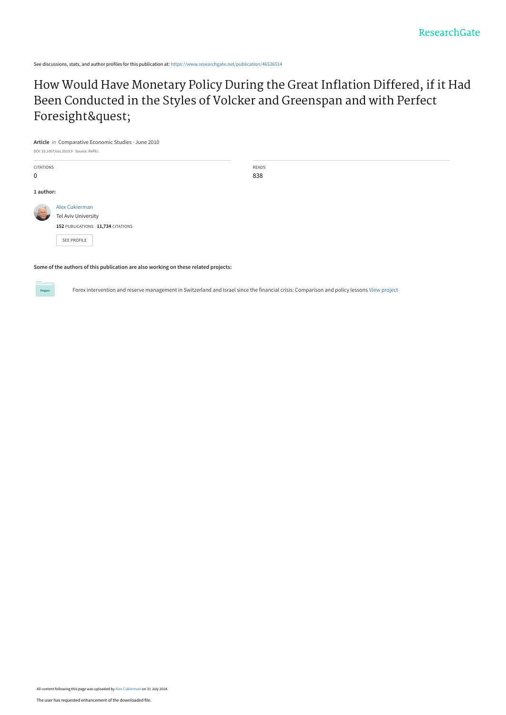See discussions, stats, and author profiles for this publication at: [https://www.researchgate.net/publication/46526514](https://www.researchgate.net/publication/46526514_How_Would_Have_Monetary_Policy_During_the_Great_Inflation_Differed_if_it_Had_Been_Conducted_in_the_Styles_of_Volcker_and_Greenspan_and_with_Perfect_Foresightquest?enrichId=rgreq-1d92376fa84ca80384af09fef970a27d-XXX&enrichSource=Y292ZXJQYWdlOzQ2NTI2NTE0O0FTOjEyNDk1OTc3NTAwNjcyMEAxNDA2ODA0MTQwNzAx&el=1_x_2&_esc=publicationCoverPdf)

[How Would Have Monetary Policy During the Great Inflation Differed, if it Had](https://www.researchgate.net/publication/46526514_How_Would_Have_Monetary_Policy_During_the_Great_Inflation_Differed_if_it_Had_Been_Conducted_in_the_Styles_of_Volcker_and_Greenspan_and_with_Perfect_Foresightquest?enrichId=rgreq-1d92376fa84ca80384af09fef970a27d-XXX&enrichSource=Y292ZXJQYWdlOzQ2NTI2NTE0O0FTOjEyNDk1OTc3NTAwNjcyMEAxNDA2ODA0MTQwNzAx&el=1_x_3&_esc=publicationCoverPdf) Been Conducted in the Styles of Volcker and Greenspan and with Perfect Foresight?

**Article** in Comparative Economic Studies · June 2010 DOI: 10.1057/ces.2010.9 · Source: RePEc

**Project** 

| CITATIONS  | READS                                                                                     |  |
|------------|-------------------------------------------------------------------------------------------|--|
| 0          | 838                                                                                       |  |
|            |                                                                                           |  |
| 1 author:  |                                                                                           |  |
| $\sqrt{3}$ | Alex Cukierman<br>Tel Aviv University<br>152 PUBLICATIONS 11,734 CITATIONS<br>SEE PROFILE |  |

**Some of the authors of this publication are also working on these related projects:**

Forex intervention and reserve management in Switzerland and Israel since the financial crisis: Comparison and policy lessons [View project](https://www.researchgate.net/project/Forex-intervention-and-reserve-management-in-Switzerland-and-Israel-since-the-financial-crisis-Comparison-and-policy-lessons?enrichId=rgreq-1d92376fa84ca80384af09fef970a27d-XXX&enrichSource=Y292ZXJQYWdlOzQ2NTI2NTE0O0FTOjEyNDk1OTc3NTAwNjcyMEAxNDA2ODA0MTQwNzAx&el=1_x_9&_esc=publicationCoverPdf)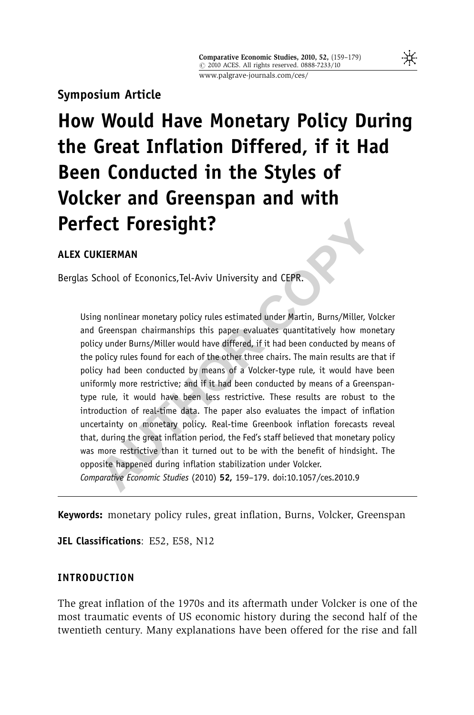# Symposium Article

# How Would Have Monetary Policy During the Great Inflation Differed, if it Had Been Conducted in the Styles of Volcker and Greenspan and with Perfect Foresight?

# ALEX CUKIERMAN

Berglas School of Econonics,Tel-Aviv University and CEPR.

**EXECT: FOTESTIGNT?**<br> **AUTHERMAN**<br>
SCONDIGET CONDITIONS, Tel-Aviv University and CEPR.<br>
Sumplinear monetary policy rules estimated under Martin, Burns/Miller, Volce<br>
Greenspan chairmanships this paper evaluates quantitativ Using nonlinear monetary policy rules estimated under Martin, Burns/Miller, Volcker and Greenspan chairmanships this paper evaluates quantitatively how monetary policy under Burns/Miller would have differed, if it had been conducted by means of the policy rules found for each of the other three chairs. The main results are that if policy had been conducted by means of a Volcker-type rule, it would have been uniformly more restrictive; and if it had been conducted by means of a Greenspantype rule, it would have been less restrictive. These results are robust to the introduction of real-time data. The paper also evaluates the impact of inflation uncertainty on monetary policy. Real-time Greenbook inflation forecasts reveal that, during the great inflation period, the Fed's staff believed that monetary policy was more restrictive than it turned out to be with the benefit of hindsight. The opposite happened during inflation stabilization under Volcker.

Comparative Economic Studies (2010) 52, 159–179. doi:10.1057/ces.2010.9

Keywords: monetary policy rules, great inflation, Burns, Volcker, Greenspan

JEL Classifications: E52, E58, N12

# INTRODUCTION

The great inflation of the 1970s and its aftermath under Volcker is one of the most traumatic events of US economic history during the second half of the twentieth century. Many explanations have been offered for the rise and fall

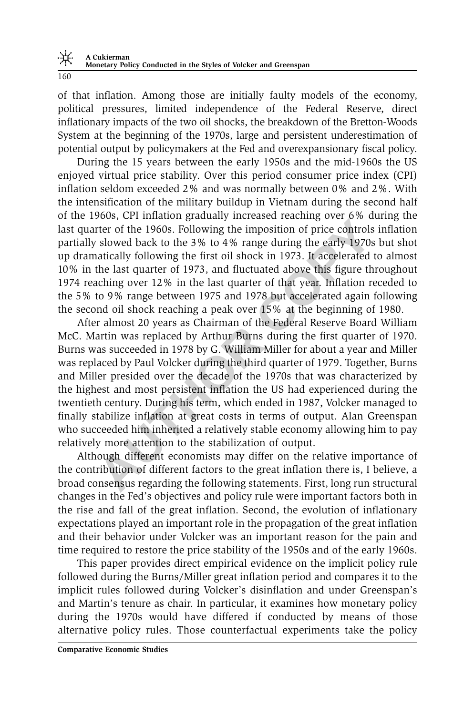of that inflation. Among those are initially faulty models of the economy, political pressures, limited independence of the Federal Reserve, direct inflationary impacts of the two oil shocks, the breakdown of the Bretton-Woods System at the beginning of the 1970s, large and persistent underestimation of potential output by policymakers at the Fed and overexpansionary fiscal policy.

During the 15 years between the early 1950s and the mid-1960s the US enjoyed virtual price stability. Over this period consumer price index (CPI) inflation seldom exceeded 2% and was normally between 0% and 2%. With the intensification of the military buildup in Vietnam during the second half of the 1960s, CPI inflation gradually increased reaching over 6% during the last quarter of the 1960s. Following the imposition of price controls inflation partially slowed back to the 3% to 4% range during the early 1970s but shot up dramatically following the first oil shock in 1973. It accelerated to almost 10% in the last quarter of 1973, and fluctuated above this figure throughout 1974 reaching over 12% in the last quarter of that year. Inflation receded to the 5% to 9% range between 1975 and 1978 but accelerated again following the second oil shock reaching a peak over 15% at the beginning of 1980.

boos, C1 minimum graduary interased reacting over *o* and there of the 1960s. Following the imposition of price controls is slowed back to the 3% to 4% range during the early 1970s batically following the first oil shock i After almost 20 years as Chairman of the Federal Reserve Board William McC. Martin was replaced by Arthur Burns during the first quarter of 1970. Burns was succeeded in 1978 by G. William Miller for about a year and Miller was replaced by Paul Volcker during the third quarter of 1979. Together, Burns and Miller presided over the decade of the 1970s that was characterized by the highest and most persistent inflation the US had experienced during the twentieth century. During his term, which ended in 1987, Volcker managed to finally stabilize inflation at great costs in terms of output. Alan Greenspan who succeeded him inherited a relatively stable economy allowing him to pay relatively more attention to the stabilization of output.

Although different economists may differ on the relative importance of the contribution of different factors to the great inflation there is, I believe, a broad consensus regarding the following statements. First, long run structural changes in the Fed's objectives and policy rule were important factors both in the rise and fall of the great inflation. Second, the evolution of inflationary expectations played an important role in the propagation of the great inflation and their behavior under Volcker was an important reason for the pain and time required to restore the price stability of the 1950s and of the early 1960s.

This paper provides direct empirical evidence on the implicit policy rule followed during the Burns/Miller great inflation period and compares it to the implicit rules followed during Volcker's disinflation and under Greenspan's and Martin's tenure as chair. In particular, it examines how monetary policy during the 1970s would have differed if conducted by means of those alternative policy rules. Those counterfactual experiments take the policy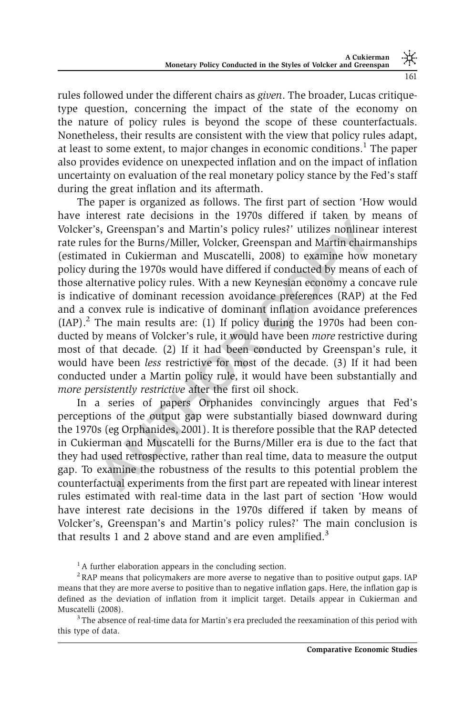rules followed under the different chairs as given. The broader, Lucas critiquetype question, concerning the impact of the state of the economy on the nature of policy rules is beyond the scope of these counterfactuals. Nonetheless, their results are consistent with the view that policy rules adapt, at least to some extent, to major changes in economic conditions.<sup>1</sup> The paper also provides evidence on unexpected inflation and on the impact of inflation uncertainty on evaluation of the real monetary policy stance by the Fed's staff during the great inflation and its aftermath.

Exerces rate tectssions in the 1770s unleted in tasket be examples is, Greenspan's and Martin's policy rules?' utilizes nonlinear is for the Burns/Miller, Volcker, Greenspan and Martin chairmed in Cukierman and Muscatelli, The paper is organized as follows. The first part of section 'How would have interest rate decisions in the 1970s differed if taken by means of Volcker's, Greenspan's and Martin's policy rules?' utilizes nonlinear interest rate rules for the Burns/Miller, Volcker, Greenspan and Martin chairmanships (estimated in Cukierman and Muscatelli, 2008) to examine how monetary policy during the 1970s would have differed if conducted by means of each of those alternative policy rules. With a new Keynesian economy a concave rule is indicative of dominant recession avoidance preferences (RAP) at the Fed and a convex rule is indicative of dominant inflation avoidance preferences  $(IAP).<sup>2</sup>$  The main results are: (1) If policy during the 1970s had been conducted by means of Volcker's rule, it would have been more restrictive during most of that decade. (2) If it had been conducted by Greenspan's rule, it would have been less restrictive for most of the decade. (3) If it had been conducted under a Martin policy rule, it would have been substantially and more persistently restrictive after the first oil shock.

In a series of papers Orphanides convincingly argues that Fed's perceptions of the output gap were substantially biased downward during the 1970s (eg Orphanides, 2001). It is therefore possible that the RAP detected in Cukierman and Muscatelli for the Burns/Miller era is due to the fact that they had used retrospective, rather than real time, data to measure the output gap. To examine the robustness of the results to this potential problem the counterfactual experiments from the first part are repeated with linear interest rules estimated with real-time data in the last part of section 'How would have interest rate decisions in the 1970s differed if taken by means of Volcker's, Greenspan's and Martin's policy rules?' The main conclusion is that results 1 and 2 above stand and are even amplified. $3$ 

 $<sup>1</sup>$  A further elaboration appears in the concluding section.</sup>

<sup>3</sup> The absence of real-time data for Martin's era precluded the reexamination of this period with this type of data.

 $<sup>2</sup>$  RAP means that policymakers are more averse to negative than to positive output gaps. IAP</sup> means that they are more averse to positive than to negative inflation gaps. Here, the inflation gap is defined as the deviation of inflation from it implicit target. Details appear in Cukierman and Muscatelli (2008).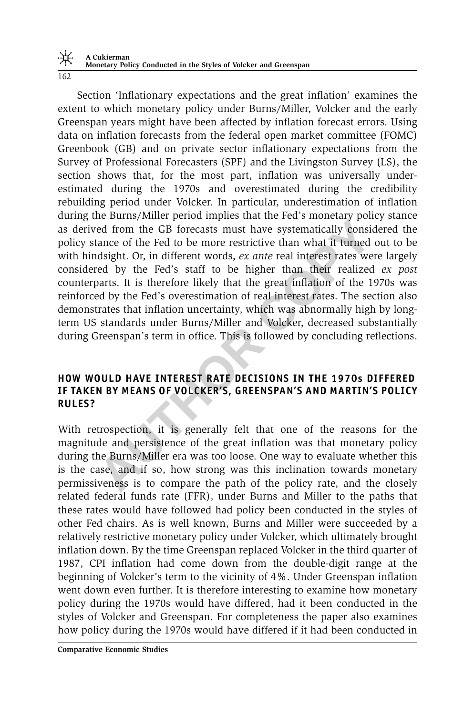From the protouries that the Feat inflation towards the entirely pointy<br>ed from the GB forecasts must have systematically considerance of the Fed to be more restrictive than what it turned ou<br>dsight. Or, in different words Section 'Inflationary expectations and the great inflation' examines the extent to which monetary policy under Burns/Miller, Volcker and the early Greenspan years might have been affected by inflation forecast errors. Using data on inflation forecasts from the federal open market committee (FOMC) Greenbook (GB) and on private sector inflationary expectations from the Survey of Professional Forecasters (SPF) and the Livingston Survey (LS), the section shows that, for the most part, inflation was universally underestimated during the 1970s and overestimated during the credibility rebuilding period under Volcker. In particular, underestimation of inflation during the Burns/Miller period implies that the Fed's monetary policy stance as derived from the GB forecasts must have systematically considered the policy stance of the Fed to be more restrictive than what it turned out to be with hindsight. Or, in different words, ex ante real interest rates were largely considered by the Fed's staff to be higher than their realized ex post counterparts. It is therefore likely that the great inflation of the 1970s was reinforced by the Fed's overestimation of real interest rates. The section also demonstrates that inflation uncertainty, which was abnormally high by longterm US standards under Burns/Miller and Volcker, decreased substantially during Greenspan's term in office. This is followed by concluding reflections.

# HOW WOULD HAVE INTEREST RATE DECISIONS IN THE 1970s DIFFERED IF TAKEN BY MEANS OF VOLCKER'S, GREENSPAN'S AND MARTIN'S POLICY RULES?

With retrospection, it is generally felt that one of the reasons for the magnitude and persistence of the great inflation was that monetary policy during the Burns/Miller era was too loose. One way to evaluate whether this is the case, and if so, how strong was this inclination towards monetary permissiveness is to compare the path of the policy rate, and the closely related federal funds rate (FFR), under Burns and Miller to the paths that these rates would have followed had policy been conducted in the styles of other Fed chairs. As is well known, Burns and Miller were succeeded by a relatively restrictive monetary policy under Volcker, which ultimately brought inflation down. By the time Greenspan replaced Volcker in the third quarter of 1987, CPI inflation had come down from the double-digit range at the beginning of Volcker's term to the vicinity of 4%. Under Greenspan inflation went down even further. It is therefore interesting to examine how monetary policy during the 1970s would have differed, had it been conducted in the styles of Volcker and Greenspan. For completeness the paper also examines how policy during the 1970s would have differed if it had been conducted in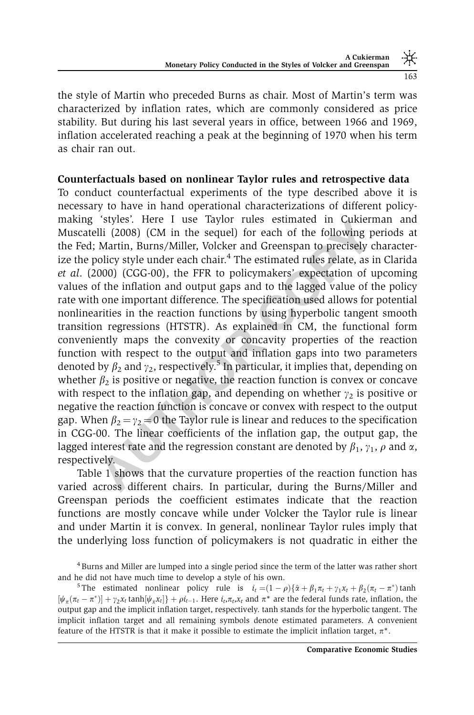the style of Martin who preceded Burns as chair. Most of Martin's term was characterized by inflation rates, which are commonly considered as price stability. But during his last several years in office, between 1966 and 1969, inflation accelerated reaching a peak at the beginning of 1970 when his term as chair ran out.

#### Counterfactuals based on nonlinear Taylor rules and retrospective data

'styles'. Here 1 use 'laylor rules estimated in Cukierma<br>
lli (2008) (CM in the sequel) for each of the following per<br>
Martin, Burns/Miller, Volcker and Greenspan to precisely char<br>
ololicy style under each chair.<sup>4</sup> The To conduct counterfactual experiments of the type described above it is necessary to have in hand operational characterizations of different policymaking 'styles'. Here I use Taylor rules estimated in Cukierman and Muscatelli (2008) (CM in the sequel) for each of the following periods at the Fed; Martin, Burns/Miller, Volcker and Greenspan to precisely characterize the policy style under each chair.<sup>4</sup> The estimated rules relate, as in Clarida et al. (2000) (CGG-00), the FFR to policymakers' expectation of upcoming values of the inflation and output gaps and to the lagged value of the policy rate with one important difference. The specification used allows for potential nonlinearities in the reaction functions by using hyperbolic tangent smooth transition regressions (HTSTR). As explained in CM, the functional form conveniently maps the convexity or concavity properties of the reaction function with respect to the output and inflation gaps into two parameters denoted by  $\beta_2$  and  $\gamma_2$ , respectively.<sup>5</sup> In particular, it implies that, depending on whether  $\beta_2$  is positive or negative, the reaction function is convex or concave with respect to the inflation gap, and depending on whether  $\gamma_2$  is positive or negative the reaction function is concave or convex with respect to the output gap. When  $\beta_2 = \gamma_2 = 0$  the Taylor rule is linear and reduces to the specification in CGG-00. The linear coefficients of the inflation gap, the output gap, the lagged interest rate and the regression constant are denoted by  $\beta_1$ ,  $\gamma_1$ ,  $\rho$  and  $\alpha$ , respectively.

Table 1 shows that the curvature properties of the reaction function has varied across different chairs. In particular, during the Burns/Miller and Greenspan periods the coefficient estimates indicate that the reaction functions are mostly concave while under Volcker the Taylor rule is linear and under Martin it is convex. In general, nonlinear Taylor rules imply that the underlying loss function of policymakers is not quadratic in either the

<sup>4</sup> Burns and Miller are lumped into a single period since the term of the latter was rather short and he did not have much time to develop a style of his own.

<sup>&</sup>lt;sup>5</sup> The estimated nonlinear policy rule is  $i_t = (1 - \rho)\{\hat{\alpha} + \beta_1\pi_t + \gamma_1x_t + \beta_2(\pi_t - \pi^*)\}$  tanh  $[\psi_{\pi}(\pi_t - \pi^*)] + \gamma_2 x_t \tanh[\psi_x x_t] + \rho i_{t-1}$ . Here  $i_t, \pi_t, x_t$  and  $\pi^*$  are the federal funds rate, inflation, the output gap and the implicit inflation target, respectively. tanh stands for the hyperbolic tangent. The implicit inflation target and all remaining symbols denote estimated parameters. A convenient feature of the HTSTR is that it make it possible to estimate the implicit inflation target,  $\pi^*$ .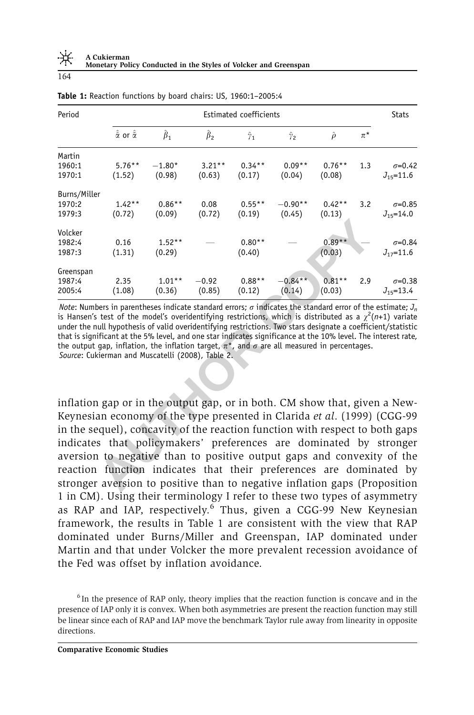| Period       | Estimated coefficients                         |                 |                 |                  |                  |              |         | <b>Stats</b>    |
|--------------|------------------------------------------------|-----------------|-----------------|------------------|------------------|--------------|---------|-----------------|
|              | $\hat{\hat{\alpha}}$ or $\hat{\tilde{\alpha}}$ | $\hat{\beta}_1$ | $\hat{\beta}_2$ | $\hat{\gamma}_1$ | $\hat{\gamma}_2$ | $\hat{\rho}$ | $\pi^*$ |                 |
| Martin       |                                                |                 |                 |                  |                  |              |         |                 |
| 1960:1       | $5.76***$                                      | $-1.80*$        | $3.21**$        | $0.34***$        | $0.09**$         | $0.76***$    | 1.3     | $\sigma = 0.42$ |
| 1970:1       | (1.52)                                         | (0.98)          | (0.63)          | (0.17)           | (0.04)           | (0.08)       |         | $J_{15} = 11.6$ |
| Burns/Miller |                                                |                 |                 |                  |                  |              |         |                 |
| 1970:2       | $1.42**$                                       | $0.86**$        | 0.08            | $0.55***$        | $-0.90**$        | $0.42**$     | 3.2     | $\sigma = 0.85$ |
| 1979:3       | (0.72)                                         | (0.09)          | (0.72)          | (0.19)           | (0.45)           | (0.13)       |         | $J_{15} = 14.0$ |
| Volcker      |                                                |                 |                 |                  |                  |              |         |                 |
| 1982:4       | 0.16                                           | $1.52**$        |                 | $0.80**$         |                  | $0.89**$     |         | $\sigma = 0.84$ |
| 1987:3       | (1.31)                                         | (0.29)          |                 | (0.40)           |                  | (0.03)       |         | $J_{17}=11.6$   |
| Greenspan    |                                                |                 |                 |                  |                  |              |         |                 |
| 1987:4       | 2.35                                           | $1.01**$        | $-0.92$         | $0.88**$         | $-0.84**$        | $0.81**$     | 2.9     | $\sigma = 0.38$ |
| 2005:4       | (1.08)                                         | (0.36)          | (0.85)          | (0.12)           | (0.14)           | (0.03)       |         | $J_{15} = 13.4$ |

Table 1: Reaction functions by board chairs: US, 1960:1–2005:4

Note: Numbers in parentheses indicate standard errors;  $\sigma$  indicates the standard error of the estimate;  $J_n$ is Hansen's test of the model's overidentifying restrictions, which is distributed as a  $\chi^2(n+1)$  variate under the null hypothesis of valid overidentifying restrictions. Two stars designate a coefficient/statistic that is significant at the 5% level, and one star indicates significance at the 10% level. The interest rate, the output gap, inflation, the inflation target,  $\pi^*$ , and  $\sigma$  are all measured in percentages. Source: Cukierman and Muscatelli (2008), Table 2.

0.16 1.52\*\* - 0.80\*\* - 0.88\* - 0.88\* - 0.89\* - 1.31) (0.29) (0.40) (0.40) (0.40) (0.33) - 2.35 1.01<sup>\*\*</sup> -0.92 0.88\* -0.84<sup>\*\*</sup> 0.81\*\* 2.9 (1.08) (0.36) (0.36) (0.36) (0.38) (0.12) (0.44) (0.03) - 1.08) (1.08) (0.36) (0.36) inflation gap or in the output gap, or in both. CM show that, given a New-Keynesian economy of the type presented in Clarida et al. (1999) (CGG-99 in the sequel), concavity of the reaction function with respect to both gaps indicates that policymakers' preferences are dominated by stronger aversion to negative than to positive output gaps and convexity of the reaction function indicates that their preferences are dominated by stronger aversion to positive than to negative inflation gaps (Proposition 1 in CM). Using their terminology I refer to these two types of asymmetry as RAP and IAP, respectively.<sup>6</sup> Thus, given a CGG-99 New Keynesian framework, the results in Table 1 are consistent with the view that RAP dominated under Burns/Miller and Greenspan, IAP dominated under Martin and that under Volcker the more prevalent recession avoidance of the Fed was offset by inflation avoidance.

<sup>6</sup> In the presence of RAP only, theory implies that the reaction function is concave and in the presence of IAP only it is convex. When both asymmetries are present the reaction function may still be linear since each of RAP and IAP move the benchmark Taylor rule away from linearity in opposite directions.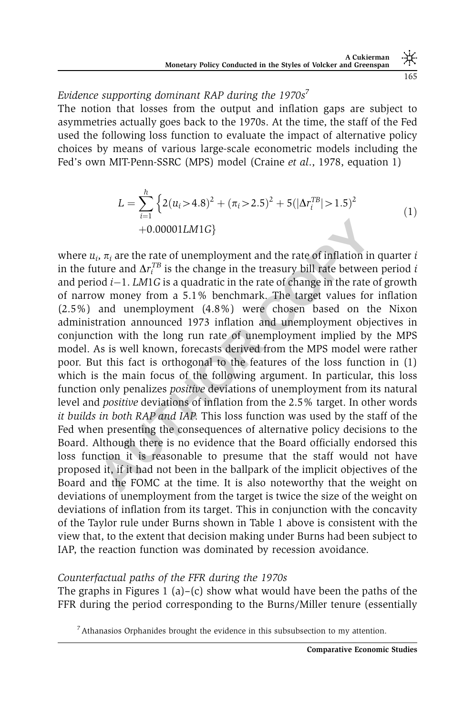Evidence supporting dominant RAP during the  $1970s^7$ 

The notion that losses from the output and inflation gaps are subject to asymmetries actually goes back to the 1970s. At the time, the staff of the Fed used the following loss function to evaluate the impact of alternative policy choices by means of various large-scale econometric models including the Fed's own MIT-Penn-SSRC (MPS) model (Craine et al., 1978, equation 1)

$$
L = \sum_{i=1}^{h} \left\{ 2(u_i > 4.8)^2 + (\pi_i > 2.5)^2 + 5(|\Delta r_i^{TB}| > 1.5)^2 + 0.00001LM1G \right\}
$$
 (1)

 $+0.00001LM1G$  + 0.00001LM1G}<br>  $+0.00001LM1G$  + 0.00001LM1G}<br>  $\alpha$ ,  $\pi_i$  are the rate of unemployment and the rate of inflation in q<br>
ture and  $\Delta r_i^{TB}$  is the change in the traesury bill rate between p<br>
od  $i-1$ . LM1G is where  $u_i$ ,  $\pi_i$  are the rate of unemployment and the rate of inflation in quarter i in the future and  $\Delta r^{TB}_i$  is the change in the treasury bill rate between period  $i$ and period  $i-1$ . LM1G is a quadratic in the rate of change in the rate of growth of narrow money from a 5.1% benchmark. The target values for inflation (2.5%) and unemployment (4.8%) were chosen based on the Nixon administration announced 1973 inflation and unemployment objectives in conjunction with the long run rate of unemployment implied by the MPS model. As is well known, forecasts derived from the MPS model were rather poor. But this fact is orthogonal to the features of the loss function in (1) which is the main focus of the following argument. In particular, this loss function only penalizes *positive* deviations of unemployment from its natural level and positive deviations of inflation from the 2.5% target. In other words it builds in both RAP and IAP. This loss function was used by the staff of the Fed when presenting the consequences of alternative policy decisions to the Board. Although there is no evidence that the Board officially endorsed this loss function it is reasonable to presume that the staff would not have proposed it, if it had not been in the ballpark of the implicit objectives of the Board and the FOMC at the time. It is also noteworthy that the weight on deviations of unemployment from the target is twice the size of the weight on deviations of inflation from its target. This in conjunction with the concavity of the Taylor rule under Burns shown in Table 1 above is consistent with the view that, to the extent that decision making under Burns had been subject to IAP, the reaction function was dominated by recession avoidance.

# Counterfactual paths of the FFR during the 1970s

The graphs in Figures 1 (a)–(c) show what would have been the paths of the FFR during the period corresponding to the Burns/Miller tenure (essentially

7Athanasios Orphanides brought the evidence in this subsubsection to my attention.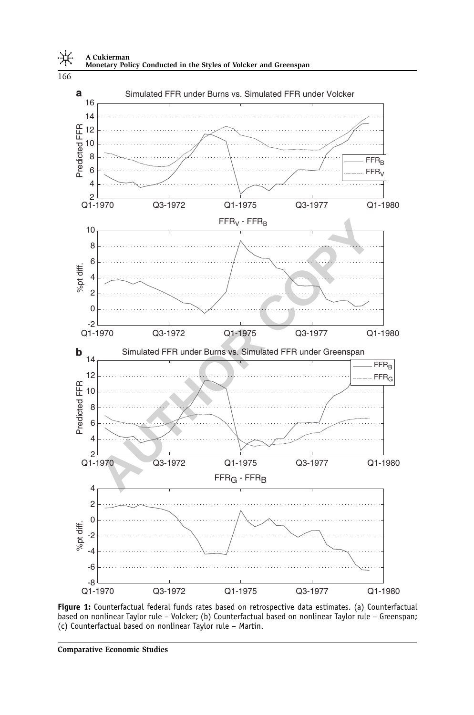

Figure 1: Counterfactual federal funds rates based on retrospective data estimates. (a) Counterfactual based on nonlinear Taylor rule – Volcker; (b) Counterfactual based on nonlinear Taylor rule – Greenspan; (c) Counterfactual based on nonlinear Taylor rule – Martin.

Comparative Economic Studies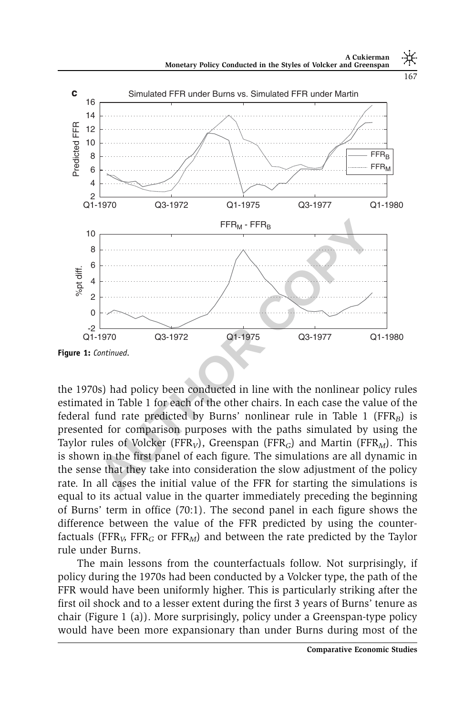



the 1970s) had policy been conducted in line with the nonlinear policy rules estimated in Table 1 for each of the other chairs. In each case the value of the federal fund rate predicted by Burns' nonlinear rule in Table 1 (FFR $_B$ ) is presented for comparison purposes with the paths simulated by using the Taylor rules of Volcker (FFR<sub>V</sub>), Greenspan (FFR<sub>G</sub>) and Martin (FFR<sub>M</sub>). This is shown in the first panel of each figure. The simulations are all dynamic in the sense that they take into consideration the slow adjustment of the policy rate. In all cases the initial value of the FFR for starting the simulations is equal to its actual value in the quarter immediately preceding the beginning of Burns' term in office (70:1). The second panel in each figure shows the difference between the value of the FFR predicted by using the counterfactuals (FFR $<sub>V</sub>$ , FFR<sub>G</sub> or FFR<sub>M</sub>) and between the rate predicted by the Taylor</sub> rule under Burns.

The main lessons from the counterfactuals follow. Not surprisingly, if policy during the 1970s had been conducted by a Volcker type, the path of the FFR would have been uniformly higher. This is particularly striking after the first oil shock and to a lesser extent during the first 3 years of Burns' tenure as chair (Figure 1 (a)). More surprisingly, policy under a Greenspan-type policy would have been more expansionary than under Burns during most of the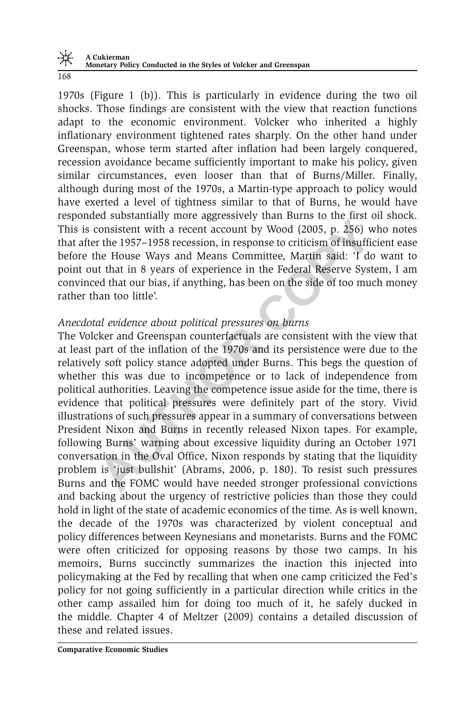1970s (Figure 1 (b)). This is particularly in evidence during the two oil shocks. Those findings are consistent with the view that reaction functions adapt to the economic environment. Volcker who inherited a highly inflationary environment tightened rates sharply. On the other hand under Greenspan, whose term started after inflation had been largely conquered, recession avoidance became sufficiently important to make his policy, given similar circumstances, even looser than that of Burns/Miller. Finally, although during most of the 1970s, a Martin-type approach to policy would have exerted a level of tightness similar to that of Burns, he would have responded substantially more aggressively than Burns to the first oil shock. This is consistent with a recent account by Wood (2005, p. 256) who notes that after the 1957–1958 recession, in response to criticism of insufficient ease before the House Ways and Means Committee, Martin said: 'I do want to point out that in 8 years of experience in the Federal Reserve System, I am convinced that our bias, if anything, has been on the side of too much money rather than too little'.

# Anecdotal evidence about political pressures on burns

Example more eages above than but an outer in the mast one and the mast outer consistent with a recent account by Wood (2005, p. 256) where the House Ways and Means Committee, Martin said: 'I do v that in 8 years of experi The Volcker and Greenspan counterfactuals are consistent with the view that at least part of the inflation of the 1970s and its persistence were due to the relatively soft policy stance adopted under Burns. This begs the question of whether this was due to incompetence or to lack of independence from political authorities. Leaving the competence issue aside for the time, there is evidence that political pressures were definitely part of the story. Vivid illustrations of such pressures appear in a summary of conversations between President Nixon and Burns in recently released Nixon tapes. For example, following Burns' warning about excessive liquidity during an October 1971 conversation in the Oval Office, Nixon responds by stating that the liquidity problem is 'just bullshit' (Abrams, 2006, p. 180). To resist such pressures Burns and the FOMC would have needed stronger professional convictions and backing about the urgency of restrictive policies than those they could hold in light of the state of academic economics of the time. As is well known, the decade of the 1970s was characterized by violent conceptual and policy differences between Keynesians and monetarists. Burns and the FOMC were often criticized for opposing reasons by those two camps. In his memoirs, Burns succinctly summarizes the inaction this injected into policymaking at the Fed by recalling that when one camp criticized the Fed's policy for not going sufficiently in a particular direction while critics in the other camp assailed him for doing too much of it, he safely ducked in the middle. Chapter 4 of Meltzer (2009) contains a detailed discussion of these and related issues.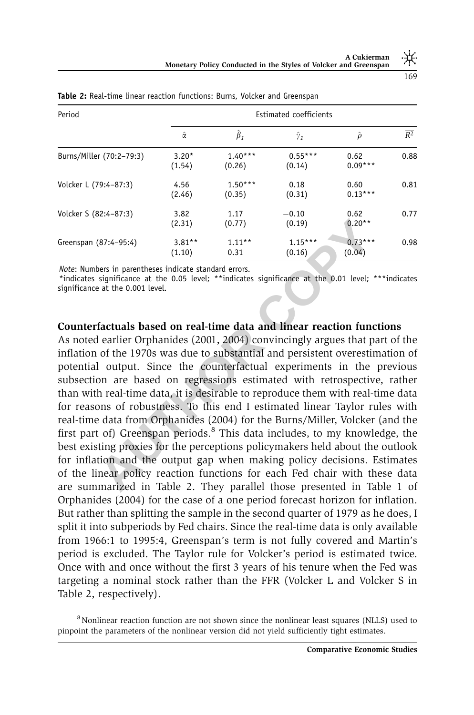| Period                                                                                                                                                                                                   |                    | Estimated coefficients |                     |                     |                  |  |  |  |
|----------------------------------------------------------------------------------------------------------------------------------------------------------------------------------------------------------|--------------------|------------------------|---------------------|---------------------|------------------|--|--|--|
|                                                                                                                                                                                                          | $\hat{\alpha}$     | $\hat{\beta}_1$        | $\hat{\gamma}_1$    | $\hat{\rho}$        | $\overline{R^2}$ |  |  |  |
| Burns/Miller (70:2-79:3)                                                                                                                                                                                 | $3.20*$<br>(1.54)  | $1.40***$<br>(0.26)    | $0.55***$<br>(0.14) | 0.62<br>$0.09***$   | 0.88             |  |  |  |
| Volcker L (79:4-87:3)                                                                                                                                                                                    | 4.56<br>(2.46)     | $1.50***$<br>(0.35)    | 0.18<br>(0.31)      | 0.60<br>$0.13***$   | 0.81             |  |  |  |
| Volcker S (82:4-87:3)                                                                                                                                                                                    | 3.82<br>(2.31)     | 1.17<br>(0.77)         | $-0.10$<br>(0.19)   | 0.62<br>$0.20**$    | 0.77             |  |  |  |
| Greenspan (87:4-95:4)                                                                                                                                                                                    | $3.81**$<br>(1.10) | $1.11***$<br>0.31      | $1.15***$<br>(0.16) | $0.73***$<br>(0.04) | 0.98             |  |  |  |
| <i>Note:</i> Numbers in parentheses indicate standard errors.<br>*indicates significance at the 0.05 level; **indicates significance at the 0.01 level; ***indicates<br>significance at the 0.001 level. |                    |                        |                     |                     |                  |  |  |  |
| Counterfactuals based on real-time data and linear reaction functions                                                                                                                                    |                    |                        |                     |                     |                  |  |  |  |

Table 2: Real-time linear reaction functions: Burns, Volcker and Greenspan

#### Counterfactuals based on real-time data and linear reaction functions

**Hactuals based on real-time data and**<br>**A** earlier Orphanides (2001, 2004) convirced for the 1970s was due to substantial and<br>**AUTE 10** and the pounterfactual exponent on are based on regressions estimate<br>th real-time data As noted earlier Orphanides (2001, 2004) convincingly argues that part of the inflation of the 1970s was due to substantial and persistent overestimation of potential output. Since the counterfactual experiments in the previous subsection are based on regressions estimated with retrospective, rather than with real-time data, it is desirable to reproduce them with real-time data for reasons of robustness. To this end I estimated linear Taylor rules with real-time data from Orphanides (2004) for the Burns/Miller, Volcker (and the first part of) Greenspan periods. $8$  This data includes, to my knowledge, the best existing proxies for the perceptions policymakers held about the outlook for inflation and the output gap when making policy decisions. Estimates of the linear policy reaction functions for each Fed chair with these data are summarized in Table 2. They parallel those presented in Table 1 of Orphanides (2004) for the case of a one period forecast horizon for inflation. But rather than splitting the sample in the second quarter of 1979 as he does, I split it into subperiods by Fed chairs. Since the real-time data is only available from 1966:1 to 1995:4, Greenspan's term is not fully covered and Martin's period is excluded. The Taylor rule for Volcker's period is estimated twice. Once with and once without the first 3 years of his tenure when the Fed was targeting a nominal stock rather than the FFR (Volcker L and Volcker S in Table 2, respectively).

Comparative Economic Studies

<sup>8</sup> Nonlinear reaction function are not shown since the nonlinear least squares (NLLS) used to pinpoint the parameters of the nonlinear version did not yield sufficiently tight estimates.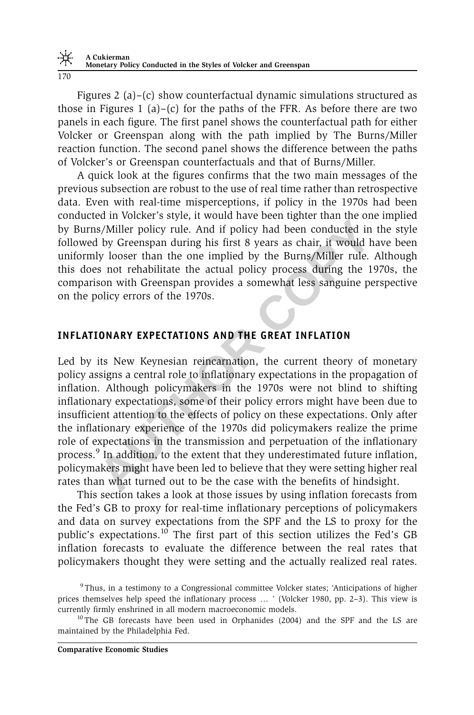Figures 2 (a)–(c) show counterfactual dynamic simulations structured as those in Figures 1 (a)–(c) for the paths of the FFR. As before there are two panels in each figure. The first panel shows the counterfactual path for either Volcker or Greenspan along with the path implied by The Burns/Miller reaction function. The second panel shows the difference between the paths of Volcker's or Greenspan counterfactuals and that of Burns/Miller.

A quick look at the figures confirms that the two main messages of the previous subsection are robust to the use of real time rather than retrospective data. Even with real-time misperceptions, if policy in the 1970s had been conducted in Volcker's style, it would have been tighter than the one implied by Burns/Miller policy rule. And if policy had been conducted in the style followed by Greenspan during his first 8 years as chair, it would have been uniformly looser than the one implied by the Burns/Miller rule. Although this does not rehabilitate the actual policy process during the 1970s, the comparison with Greenspan provides a somewhat less sanguine perspective on the policy errors of the 1970s.

# INFLATIONARY EXPECTATIONS AND THE GREAT INFLATION

Early worker is style, it would nave been ugned than the olie<br>*AMiller policy rule.* And if policy had been conducted in the by Greenspan during his first 8 years as chair, it would hav<br>by looser than the one implied by th Led by its New Keynesian reincarnation, the current theory of monetary policy assigns a central role to inflationary expectations in the propagation of inflation. Although policymakers in the 1970s were not blind to shifting inflationary expectations, some of their policy errors might have been due to insufficient attention to the effects of policy on these expectations. Only after the inflationary experience of the 1970s did policymakers realize the prime role of expectations in the transmission and perpetuation of the inflationary process.<sup>9</sup> In addition, to the extent that they underestimated future inflation, policymakers might have been led to believe that they were setting higher real rates than what turned out to be the case with the benefits of hindsight.

This section takes a look at those issues by using inflation forecasts from the Fed's GB to proxy for real-time inflationary perceptions of policymakers and data on survey expectations from the SPF and the LS to proxy for the public's expectations.10 The first part of this section utilizes the Fed's GB inflation forecasts to evaluate the difference between the real rates that policymakers thought they were setting and the actually realized real rates.

<sup>9</sup> Thus, in a testimony to a Congressional committee Volcker states; 'Anticipations of higher prices themselves help speed the inflationary process ... ' (Volcker 1980, pp. 2-3). This view is currently firmly enshrined in all modern macroeconomic models.

<sup>&</sup>lt;sup>10</sup> The GB forecasts have been used in Orphanides (2004) and the SPF and the LS are maintained by the Philadelphia Fed.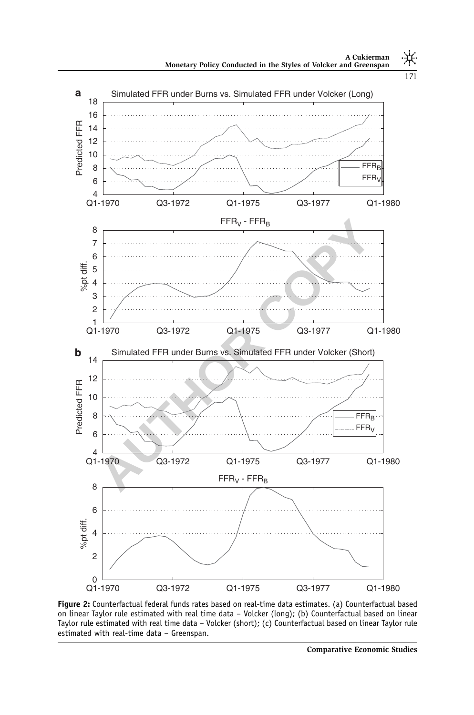



Figure 2: Counterfactual federal funds rates based on real-time data estimates. (a) Counterfactual based on linear Taylor rule estimated with real time data – Volcker (long); (b) Counterfactual based on linear Taylor rule estimated with real time data – Volcker (short); (c) Counterfactual based on linear Taylor rule estimated with real-time data – Greenspan.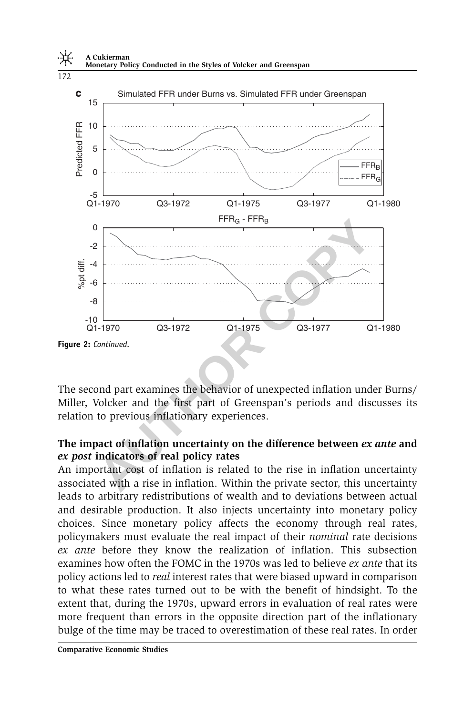

The second part examines the behavior of unexpected inflation under Burns/ Miller, Volcker and the first part of Greenspan's periods and discusses its relation to previous inflationary experiences.

# The impact of inflation uncertainty on the difference between ex ante and ex post indicators of real policy rates

An important cost of inflation is related to the rise in inflation uncertainty associated with a rise in inflation. Within the private sector, this uncertainty leads to arbitrary redistributions of wealth and to deviations between actual and desirable production. It also injects uncertainty into monetary policy choices. Since monetary policy affects the economy through real rates, policymakers must evaluate the real impact of their nominal rate decisions ex ante before they know the realization of inflation. This subsection examines how often the FOMC in the 1970s was led to believe ex ante that its policy actions led to real interest rates that were biased upward in comparison to what these rates turned out to be with the benefit of hindsight. To the extent that, during the 1970s, upward errors in evaluation of real rates were more frequent than errors in the opposite direction part of the inflationary bulge of the time may be traced to overestimation of these real rates. In order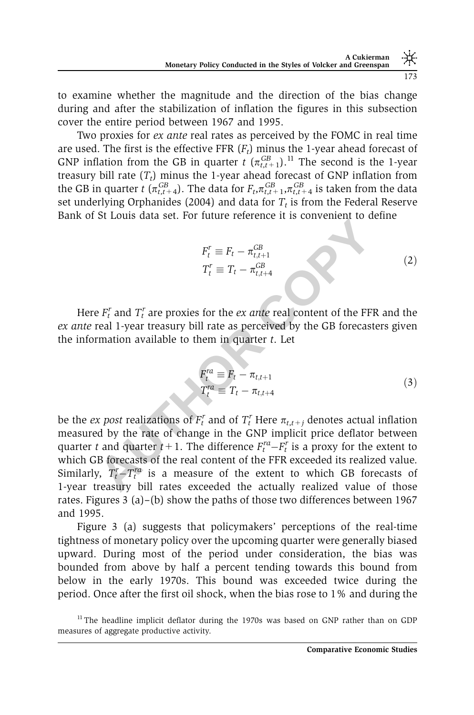to examine whether the magnitude and the direction of the bias change during and after the stabilization of inflation the figures in this subsection cover the entire period between 1967 and 1995.

Two proxies for ex ante real rates as perceived by the FOMC in real time are used. The first is the effective FFR  $(F_t)$  minus the 1-year ahead forecast of GNP inflation from the GB in quarter t  $(\pi_{t,t+1}^{GB})$ .<sup>11</sup> The second is the 1-year treasury bill rate  $(T_t)$  minus the 1-year ahead forecast of GNP inflation from the GB in quarter  $t \left( \pi_{t,t+4}^{GB} \right)$ . The data for  $F_t$ ,  $\pi_{t,t+1}^{GB}$  ,  $\pi_{t,t+4}^{GB}$  is taken from the data set underlying Orphanides (2004) and data for  $T_t$  is from the Federal Reserve Bank of St Louis data set. For future reference it is convenient to define

$$
F_t^r \equiv F_t - \pi_{t,t+1}^{GB}
$$
  
\n
$$
T_t^r \equiv T_t - \pi_{t,t+4}^{GB}
$$
 (2)

Here  $F_t^r$  and  $T_t^r$  are proxies for the *ex ante* real content of the FFR and the ex ante real 1-year treasury bill rate as perceived by the GB forecasters given the information available to them in quarter  $t$ . Let

$$
F_t^{ra} \equiv F_t - \pi_{t,t+1}
$$
  
\n
$$
T_t^{ra} \equiv T_t - \pi_{t,t+4}
$$
\n(3)

 $F_t^r \equiv F_t - \pi_{t,t+1}^{GB}$ <br>  $T_t^r \equiv T_t - \pi_{t,t+1}^{GB}$ <br>  $T_t^r \equiv T_t - \pi_{t,t+4}^{GB}$ <br>  $F_t^r$  and  $T_t^r$  are proxies for the *ex ante* real content of the FFR and 1-year treasury bill rate as perceived by the GB forecaster<br>
mation avail be the *ex post* realizations of  $F_t^r$  and of  $T_t^r$  Here  $\pi_{t,t+j}$  denotes actual inflation measured by the rate of change in the GNP implicit price deflator between quarter t and quarter  $t+1$ . The difference  $F_t^{ra} - F_t^r$  is a proxy for the extent to which GB forecasts of the real content of the FFR exceeded its realized value. Similarly,  $T_t^r - T_t^{ra}$  is a measure of the extent to which GB forecasts of 1-year treasury bill rates exceeded the actually realized value of those rates. Figures 3 (a)–(b) show the paths of those two differences between 1967 and 1995.

Figure 3 (a) suggests that policymakers' perceptions of the real-time tightness of monetary policy over the upcoming quarter were generally biased upward. During most of the period under consideration, the bias was bounded from above by half a percent tending towards this bound from below in the early 1970s. This bound was exceeded twice during the period. Once after the first oil shock, when the bias rose to 1% and during the

 $11$ The headline implicit deflator during the 1970s was based on GNP rather than on GDP measures of aggregate productive activity.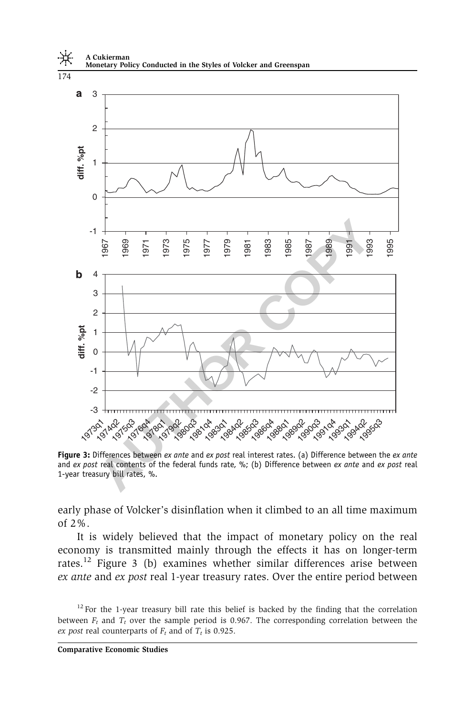

Figure 3: Differences between ex ante and ex post real interest rates. (a) Difference between the ex ante and ex post real contents of the federal funds rate, %; (b) Difference between ex ante and ex post real 1-year treasury bill rates, %.

early phase of Volcker's disinflation when it climbed to an all time maximum of 2%.

It is widely believed that the impact of monetary policy on the real economy is transmitted mainly through the effects it has on longer-term rates.12 Figure 3 (b) examines whether similar differences arise between ex ante and ex post real 1-year treasury rates. Over the entire period between

<sup>&</sup>lt;sup>12</sup> For the 1-year treasury bill rate this belief is backed by the finding that the correlation between  $F_t$  and  $T_t$  over the sample period is 0.967. The corresponding correlation between the ex post real counterparts of  $F_t$  and of  $T_t$  is 0.925.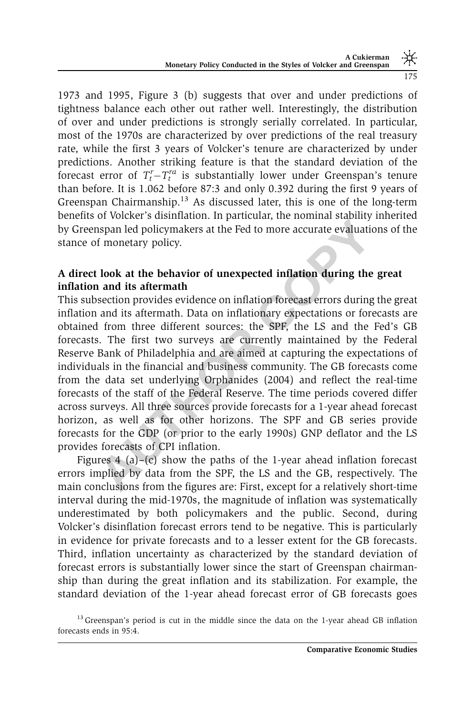1973 and 1995, Figure 3 (b) suggests that over and under predictions of tightness balance each other out rather well. Interestingly, the distribution of over and under predictions is strongly serially correlated. In particular, most of the 1970s are characterized by over predictions of the real treasury rate, while the first 3 years of Volcker's tenure are characterized by under predictions. Another striking feature is that the standard deviation of the forecast error of  $T_t^r - T_t^{ra}$  is substantially lower under Greenspan's tenure than before. It is 1.062 before 87:3 and only 0.392 during the first 9 years of Greenspan Chairmanship.<sup>13</sup> As discussed later, this is one of the long-term benefits of Volcker's disinflation. In particular, the nominal stability inherited by Greenspan led policymakers at the Fed to more accurate evaluations of the stance of monetary policy.

# A direct look at the behavior of unexpected inflation during the great inflation and its aftermath

or vocker's ustimation. In particular, the hominal stability in<br>span led policymakers at the Fed to more accurate evaluations<br>f monetary policy.<br>**Autok** at the behavior of unexpected inflation during the given<br>and its afte This subsection provides evidence on inflation forecast errors during the great inflation and its aftermath. Data on inflationary expectations or forecasts are obtained from three different sources: the SPF, the LS and the Fed's GB forecasts. The first two surveys are currently maintained by the Federal Reserve Bank of Philadelphia and are aimed at capturing the expectations of individuals in the financial and business community. The GB forecasts come from the data set underlying Orphanides (2004) and reflect the real-time forecasts of the staff of the Federal Reserve. The time periods covered differ across surveys. All three sources provide forecasts for a 1-year ahead forecast horizon, as well as for other horizons. The SPF and GB series provide forecasts for the GDP (or prior to the early 1990s) GNP deflator and the LS provides forecasts of CPI inflation.

Figures 4 (a)–(c) show the paths of the 1-year ahead inflation forecast errors implied by data from the SPF, the LS and the GB, respectively. The main conclusions from the figures are: First, except for a relatively short-time interval during the mid-1970s, the magnitude of inflation was systematically underestimated by both policymakers and the public. Second, during Volcker's disinflation forecast errors tend to be negative. This is particularly in evidence for private forecasts and to a lesser extent for the GB forecasts. Third, inflation uncertainty as characterized by the standard deviation of forecast errors is substantially lower since the start of Greenspan chairmanship than during the great inflation and its stabilization. For example, the standard deviation of the 1-year ahead forecast error of GB forecasts goes

<sup>&</sup>lt;sup>13</sup> Greenspan's period is cut in the middle since the data on the 1-year ahead GB inflation forecasts ends in 95:4.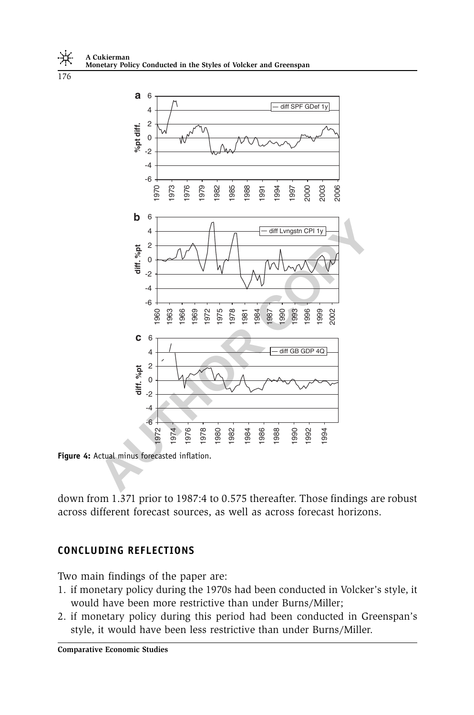



Figure 4: Actual minus forecasted inflation.

down from 1.371 prior to 1987:4 to 0.575 thereafter. Those findings are robust across different forecast sources, as well as across forecast horizons.

# CONCLUDING REFLECTIONS

Two main findings of the paper are:

- 1. if monetary policy during the 1970s had been conducted in Volcker's style, it would have been more restrictive than under Burns/Miller;
- 2. if monetary policy during this period had been conducted in Greenspan's style, it would have been less restrictive than under Burns/Miller.

Comparative Economic Studies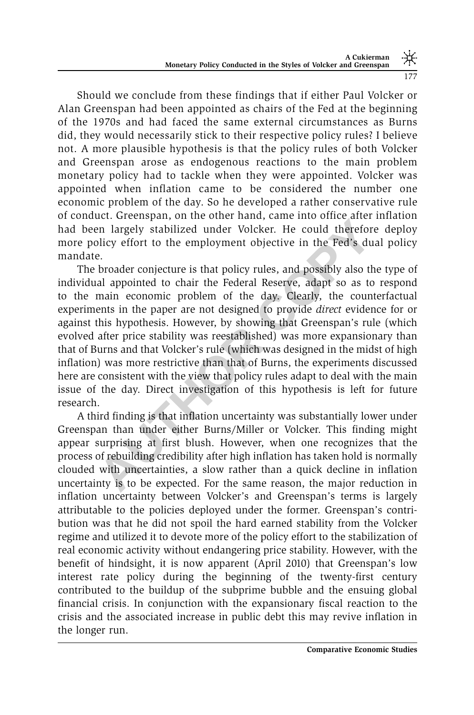Should we conclude from these findings that if either Paul Volcker or Alan Greenspan had been appointed as chairs of the Fed at the beginning of the 1970s and had faced the same external circumstances as Burns did, they would necessarily stick to their respective policy rules? I believe not. A more plausible hypothesis is that the policy rules of both Volcker and Greenspan arose as endogenous reactions to the main problem monetary policy had to tackle when they were appointed. Volcker was appointed when inflation came to be considered the number one economic problem of the day. So he developed a rather conservative rule of conduct. Greenspan, on the other hand, came into office after inflation had been largely stabilized under Volcker. He could therefore deploy more policy effort to the employment objective in the Fed's dual policy mandate.

Ect. Oreenspar, on the other hand, came hito orite and the prote and the<br>and largely stabilized under Volcker. He could therefore<br>blicy effort to the employment objective in the Fed's dual<br>e.<br>broader conjecture is that pol The broader conjecture is that policy rules, and possibly also the type of individual appointed to chair the Federal Reserve, adapt so as to respond to the main economic problem of the day. Clearly, the counterfactual experiments in the paper are not designed to provide direct evidence for or against this hypothesis. However, by showing that Greenspan's rule (which evolved after price stability was reestablished) was more expansionary than that of Burns and that Volcker's rule (which was designed in the midst of high inflation) was more restrictive than that of Burns, the experiments discussed here are consistent with the view that policy rules adapt to deal with the main issue of the day. Direct investigation of this hypothesis is left for future research.

A third finding is that inflation uncertainty was substantially lower under Greenspan than under either Burns/Miller or Volcker. This finding might appear surprising at first blush. However, when one recognizes that the process of rebuilding credibility after high inflation has taken hold is normally clouded with uncertainties, a slow rather than a quick decline in inflation uncertainty is to be expected. For the same reason, the major reduction in inflation uncertainty between Volcker's and Greenspan's terms is largely attributable to the policies deployed under the former. Greenspan's contribution was that he did not spoil the hard earned stability from the Volcker regime and utilized it to devote more of the policy effort to the stabilization of real economic activity without endangering price stability. However, with the benefit of hindsight, it is now apparent (April 2010) that Greenspan's low interest rate policy during the beginning of the twenty-first century contributed to the buildup of the subprime bubble and the ensuing global financial crisis. In conjunction with the expansionary fiscal reaction to the crisis and the associated increase in public debt this may revive inflation in the longer run.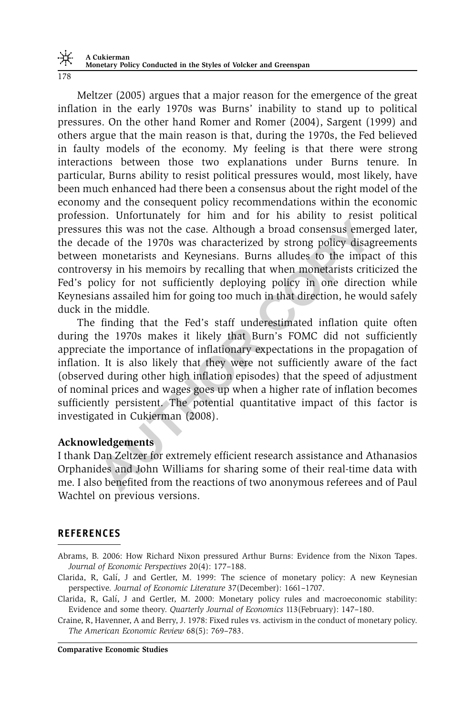Meltzer (2005) argues that a major reason for the emergence of the great inflation in the early 1970s was Burns' inability to stand up to political pressures. On the other hand Romer and Romer (2004), Sargent (1999) and others argue that the main reason is that, during the 1970s, the Fed believed in faulty models of the economy. My feeling is that there were strong interactions between those two explanations under Burns tenure. In particular, Burns ability to resist political pressures would, most likely, have been much enhanced had there been a consensus about the right model of the economy and the consequent policy recommendations within the economic profession. Unfortunately for him and for his ability to resist political pressures this was not the case. Although a broad consensus emerged later, the decade of the 1970s was characterized by strong policy disagreements between monetarists and Keynesians. Burns alludes to the impact of this controversy in his memoirs by recalling that when monetarists criticized the Fed's policy for not sufficiently deploying policy in one direction while Keynesians assailed him for going too much in that direction, he would safely duck in the middle.

From the and the case. Although a broad consensus emerges in the was not the case. Although a broad consensus emerge de of the 1970s was characterized by strong policy disagre monetarists and Keynesians. Burns alludes to t The finding that the Fed's staff underestimated inflation quite often during the 1970s makes it likely that Burn's FOMC did not sufficiently appreciate the importance of inflationary expectations in the propagation of inflation. It is also likely that they were not sufficiently aware of the fact (observed during other high inflation episodes) that the speed of adjustment of nominal prices and wages goes up when a higher rate of inflation becomes sufficiently persistent. The potential quantitative impact of this factor is investigated in Cukierman (2008).

# Acknowledgements

I thank Dan Zeltzer for extremely efficient research assistance and Athanasios Orphanides and John Williams for sharing some of their real-time data with me. I also benefited from the reactions of two anonymous referees and of Paul Wachtel on previous versions.

# **REFERENCES**

- Abrams, B. 2006: How Richard Nixon pressured Arthur Burns: Evidence from the Nixon Tapes. Journal of Economic Perspectives 20(4): 177–188.
- Clarida, R, Galí, J and Gertler, M. 1999: The science of monetary policy: A new Keynesian perspective. Journal of Economic Literature 37(December): 1661–1707.
- Clarida, R, Galí, J and Gertler, M. 2000: Monetary policy rules and macroeconomic stability: Evidence and some theory. Quarterly Journal of Economics 113(February): 147–180.
- Craine, R, Havenner, A and Berry, J. 1978: Fixed rules vs. activism in the conduct of monetary policy. The American Economic Review 68(5): 769–783.